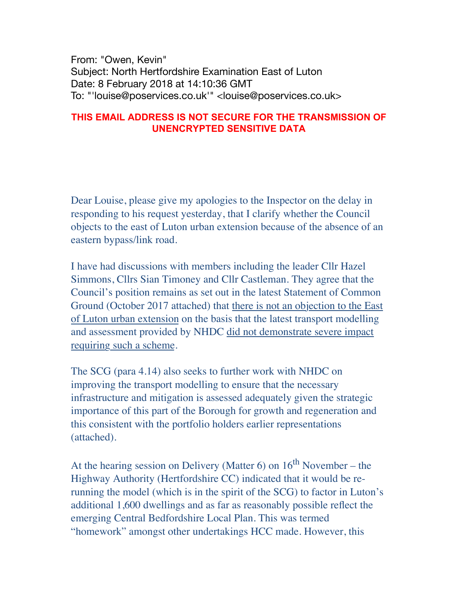From: "Owen, Kevin" Subject: North Hertfordshire Examination East of Luton Date: 8 February 2018 at 14:10:36 GMT To: "'louise@poservices.co.uk'" <louise@poservices.co.uk>

## **THIS EMAIL ADDRESS IS NOT SECURE FOR THE TRANSMISSION OF UNENCRYPTED SENSITIVE DATA**

Dear Louise, please give my apologies to the Inspector on the delay in responding to his request yesterday, that I clarify whether the Council objects to the east of Luton urban extension because of the absence of an eastern bypass/link road.

I have had discussions with members including the leader Cllr Hazel Simmons, Cllrs Sian Timoney and Cllr Castleman. They agree that the Council's position remains as set out in the latest Statement of Common Ground (October 2017 attached) that there is not an objection to the East of Luton urban extension on the basis that the latest transport modelling and assessment provided by NHDC did not demonstrate severe impact requiring such a scheme.

The SCG (para 4.14) also seeks to further work with NHDC on improving the transport modelling to ensure that the necessary infrastructure and mitigation is assessed adequately given the strategic importance of this part of the Borough for growth and regeneration and this consistent with the portfolio holders earlier representations (attached).

At the hearing session on Delivery (Matter 6) on  $16<sup>th</sup>$  November – the Highway Authority (Hertfordshire CC) indicated that it would be rerunning the model (which is in the spirit of the SCG) to factor in Luton's additional 1,600 dwellings and as far as reasonably possible reflect the emerging Central Bedfordshire Local Plan. This was termed "homework" amongst other undertakings HCC made. However, this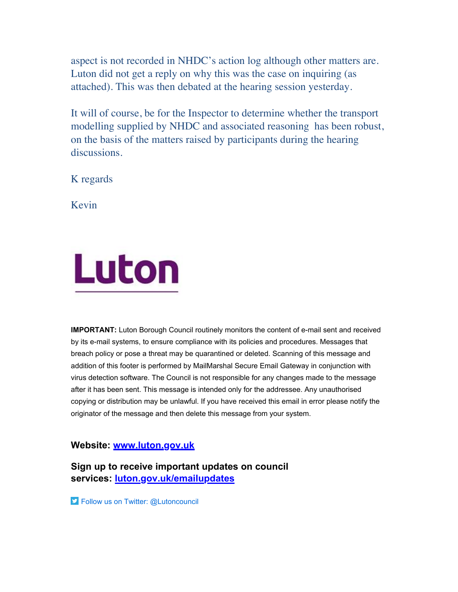aspect is not recorded in NHDC's action log although other matters are. Luton did not get a reply on why this was the case on inquiring (as attached). This was then debated at the hearing session yesterday.

It will of course, be for the Inspector to determine whether the transport modelling supplied by NHDC and associated reasoning has been robust, on the basis of the matters raised by participants during the hearing discussions.

K regards

Kevin



**IMPORTANT:** Luton Borough Council routinely monitors the content of e-mail sent and received by its e-mail systems, to ensure compliance with its policies and procedures. Messages that breach policy or pose a threat may be quarantined or deleted. Scanning of this message and addition of this footer is performed by MailMarshal Secure Email Gateway in conjunction with virus detection software. The Council is not responsible for any changes made to the message after it has been sent. This message is intended only for the addressee. Any unauthorised copying or distribution may be unlawful. If you have received this email in error please notify the originator of the message and then delete this message from your system.

## **Website: [www.luton.gov.uk](http://www.luton.gov.uk/)**

**Sign up to receive important updates on council services: [luton.gov.uk/emailupdates](http://www.luton.gov.uk/emailupdates)**

**Follow us on Twitter: @Lutoncouncil**